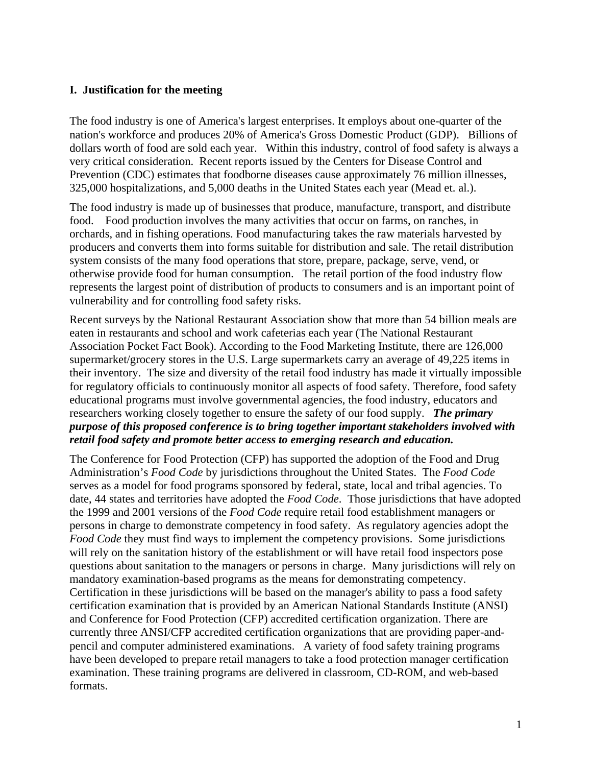# **I. Justification for the meeting**

The food industry is one of America's largest enterprises. It employs about one-quarter of the nation's workforce and produces 20% of America's Gross Domestic Product (GDP). Billions of dollars worth of food are sold each year. Within this industry, control of food safety is always a very critical consideration. Recent reports issued by the Centers for Disease Control and Prevention (CDC) estimates that foodborne diseases cause approximately 76 million illnesses, 325,000 hospitalizations, and 5,000 deaths in the United States each year (Mead et. al.).

The food industry is made up of businesses that produce, manufacture, transport, and distribute food. Food production involves the many activities that occur on farms, on ranches, in orchards, and in fishing operations. Food manufacturing takes the raw materials harvested by producers and converts them into forms suitable for distribution and sale. The retail distribution system consists of the many food operations that store, prepare, package, serve, vend, or otherwise provide food for human consumption. The retail portion of the food industry flow represents the largest point of distribution of products to consumers and is an important point of vulnerability and for controlling food safety risks.

Recent surveys by the National Restaurant Association show that more than 54 billion meals are eaten in restaurants and school and work cafeterias each year (The National Restaurant Association Pocket Fact Book). According to the Food Marketing Institute, there are 126,000 supermarket/grocery stores in the U.S. Large supermarkets carry an average of 49,225 items in their inventory. The size and diversity of the retail food industry has made it virtually impossible for regulatory officials to continuously monitor all aspects of food safety. Therefore, food safety educational programs must involve governmental agencies, the food industry, educators and researchers working closely together to ensure the safety of our food supply. *The primary purpose of this proposed conference is to bring together important stakeholders involved with retail food safety and promote better access to emerging research and education.* 

The Conference for Food Protection (CFP) has supported the adoption of the Food and Drug Administration's *Food Code* by jurisdictions throughout the United States. The *Food Code* serves as a model for food programs sponsored by federal, state, local and tribal agencies. To date, 44 states and territories have adopted the *Food Code*. Those jurisdictions that have adopted the 1999 and 2001 versions of the *Food Code* require retail food establishment managers or persons in charge to demonstrate competency in food safety. As regulatory agencies adopt the *Food Code* they must find ways to implement the competency provisions. Some jurisdictions will rely on the sanitation history of the establishment or will have retail food inspectors pose questions about sanitation to the managers or persons in charge. Many jurisdictions will rely on mandatory examination-based programs as the means for demonstrating competency. Certification in these jurisdictions will be based on the manager's ability to pass a food safety certification examination that is provided by an American National Standards Institute (ANSI) and Conference for Food Protection (CFP) accredited certification organization. There are currently three ANSI/CFP accredited certification organizations that are providing paper-andpencil and computer administered examinations. A variety of food safety training programs have been developed to prepare retail managers to take a food protection manager certification examination. These training programs are delivered in classroom, CD-ROM, and web-based formats.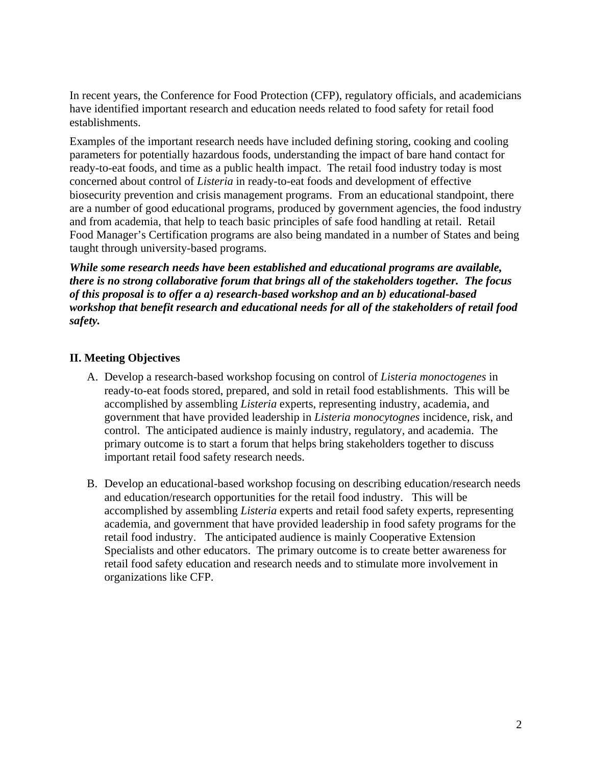In recent years, the Conference for Food Protection (CFP), regulatory officials, and academicians have identified important research and education needs related to food safety for retail food establishments.

Examples of the important research needs have included defining storing, cooking and cooling parameters for potentially hazardous foods, understanding the impact of bare hand contact for ready-to-eat foods, and time as a public health impact. The retail food industry today is most concerned about control of *Listeria* in ready-to-eat foods and development of effective biosecurity prevention and crisis management programs. From an educational standpoint, there are a number of good educational programs, produced by government agencies, the food industry and from academia, that help to teach basic principles of safe food handling at retail. Retail Food Manager's Certification programs are also being mandated in a number of States and being taught through university-based programs.

*While some research needs have been established and educational programs are available, there is no strong collaborative forum that brings all of the stakeholders together. The focus of this proposal is to offer a a) research-based workshop and an b) educational-based workshop that benefit research and educational needs for all of the stakeholders of retail food safety.* 

# **II. Meeting Objectives**

- A. Develop a research-based workshop focusing on control of *Listeria monoctogenes* in ready-to-eat foods stored, prepared, and sold in retail food establishments. This will be accomplished by assembling *Listeria* experts, representing industry, academia, and government that have provided leadership in *Listeria monocytognes* incidence, risk, and control. The anticipated audience is mainly industry, regulatory, and academia. The primary outcome is to start a forum that helps bring stakeholders together to discuss important retail food safety research needs.
- B. Develop an educational-based workshop focusing on describing education/research needs and education/research opportunities for the retail food industry. This will be accomplished by assembling *Listeria* experts and retail food safety experts, representing academia, and government that have provided leadership in food safety programs for the retail food industry. The anticipated audience is mainly Cooperative Extension Specialists and other educators. The primary outcome is to create better awareness for retail food safety education and research needs and to stimulate more involvement in organizations like CFP.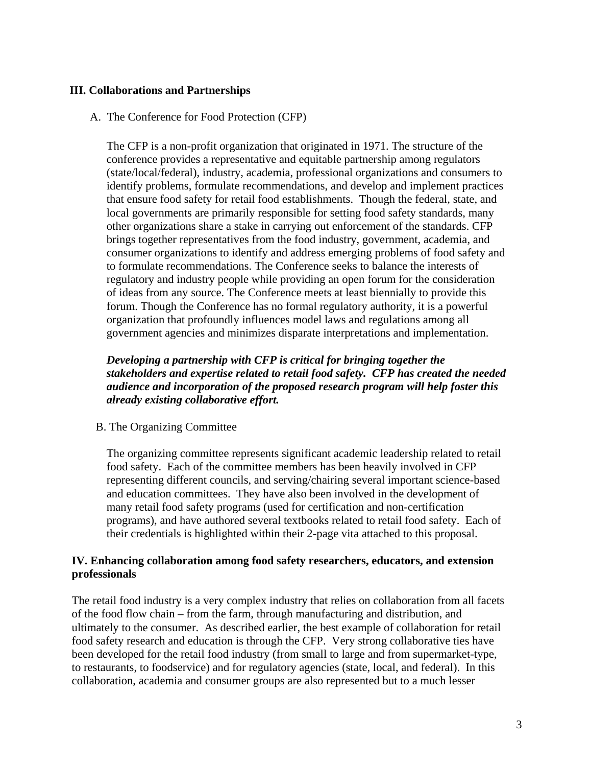## **III. Collaborations and Partnerships**

#### A. The Conference for Food Protection (CFP)

The CFP is a non-profit organization that originated in 1971. The structure of the conference provides a representative and equitable partnership among regulators (state/local/federal), industry, academia, professional organizations and consumers to identify problems, formulate recommendations, and develop and implement practices that ensure food safety for retail food establishments. Though the federal, state, and local governments are primarily responsible for setting food safety standards, many other organizations share a stake in carrying out enforcement of the standards. CFP brings together representatives from the food industry, government, academia, and consumer organizations to identify and address emerging problems of food safety and to formulate recommendations. The Conference seeks to balance the interests of regulatory and industry people while providing an open forum for the consideration of ideas from any source. The Conference meets at least biennially to provide this forum. Though the Conference has no formal regulatory authority, it is a powerful organization that profoundly influences model laws and regulations among all government agencies and minimizes disparate interpretations and implementation.

# *Developing a partnership with CFP is critical for bringing together the stakeholders and expertise related to retail food safety. CFP has created the needed audience and incorporation of the proposed research program will help foster this already existing collaborative effort.*

#### B. The Organizing Committee

The organizing committee represents significant academic leadership related to retail food safety. Each of the committee members has been heavily involved in CFP representing different councils, and serving/chairing several important science-based and education committees. They have also been involved in the development of many retail food safety programs (used for certification and non-certification programs), and have authored several textbooks related to retail food safety. Each of their credentials is highlighted within their 2-page vita attached to this proposal.

## **IV. Enhancing collaboration among food safety researchers, educators, and extension professionals**

The retail food industry is a very complex industry that relies on collaboration from all facets of the food flow chain – from the farm, through manufacturing and distribution, and ultimately to the consumer. As described earlier, the best example of collaboration for retail food safety research and education is through the CFP. Very strong collaborative ties have been developed for the retail food industry (from small to large and from supermarket-type, to restaurants, to foodservice) and for regulatory agencies (state, local, and federal). In this collaboration, academia and consumer groups are also represented but to a much lesser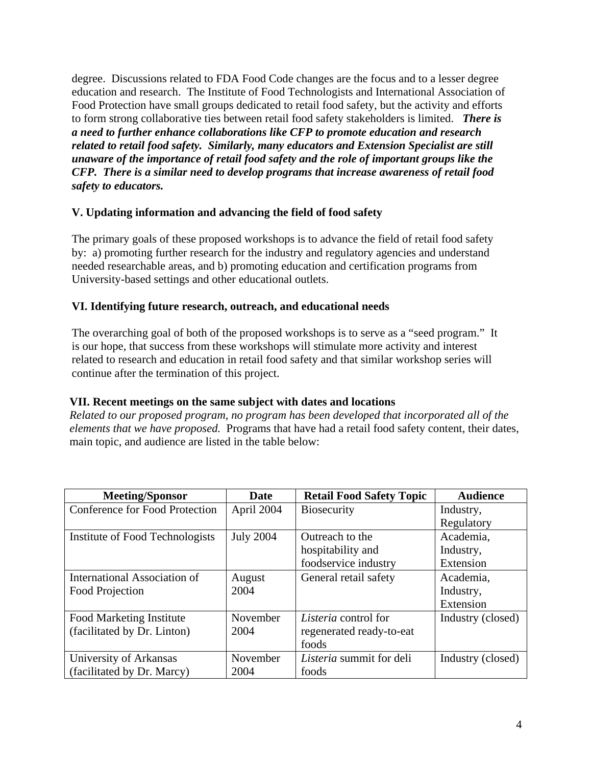degree. Discussions related to FDA Food Code changes are the focus and to a lesser degree education and research. The Institute of Food Technologists and International Association of Food Protection have small groups dedicated to retail food safety, but the activity and efforts to form strong collaborative ties between retail food safety stakeholders is limited. *There is a need to further enhance collaborations like CFP to promote education and research related to retail food safety. Similarly, many educators and Extension Specialist are still unaware of the importance of retail food safety and the role of important groups like the CFP. There is a similar need to develop programs that increase awareness of retail food safety to educators.* 

# **V. Updating information and advancing the field of food safety**

The primary goals of these proposed workshops is to advance the field of retail food safety by: a) promoting further research for the industry and regulatory agencies and understand needed researchable areas, and b) promoting education and certification programs from University-based settings and other educational outlets.

## **VI. Identifying future research, outreach, and educational needs**

The overarching goal of both of the proposed workshops is to serve as a "seed program." It is our hope, that success from these workshops will stimulate more activity and interest related to research and education in retail food safety and that similar workshop series will continue after the termination of this project.

### **VII. Recent meetings on the same subject with dates and locations**

*Related to our proposed program, no program has been developed that incorporated all of the elements that we have proposed.* Programs that have had a retail food safety content, their dates, main topic, and audience are listed in the table below:

| <b>Meeting/Sponsor</b>          | Date             | <b>Retail Food Safety Topic</b> | <b>Audience</b>   |
|---------------------------------|------------------|---------------------------------|-------------------|
| Conference for Food Protection  | April 2004       | <b>Biosecurity</b>              | Industry,         |
|                                 |                  |                                 | Regulatory        |
| Institute of Food Technologists | <b>July 2004</b> | Outreach to the                 | Academia,         |
|                                 |                  | hospitability and               | Industry,         |
|                                 |                  | foodservice industry            | Extension         |
| International Association of    | August           | General retail safety           | Academia,         |
| Food Projection                 | 2004             |                                 | Industry,         |
|                                 |                  |                                 | Extension         |
| <b>Food Marketing Institute</b> | November         | Listeria control for            | Industry (closed) |
| (facilitated by Dr. Linton)     | 2004             | regenerated ready-to-eat        |                   |
|                                 |                  | foods                           |                   |
| University of Arkansas          | November         | Listeria summit for deli        | Industry (closed) |
| (facilitated by Dr. Marcy)      | 2004             | foods                           |                   |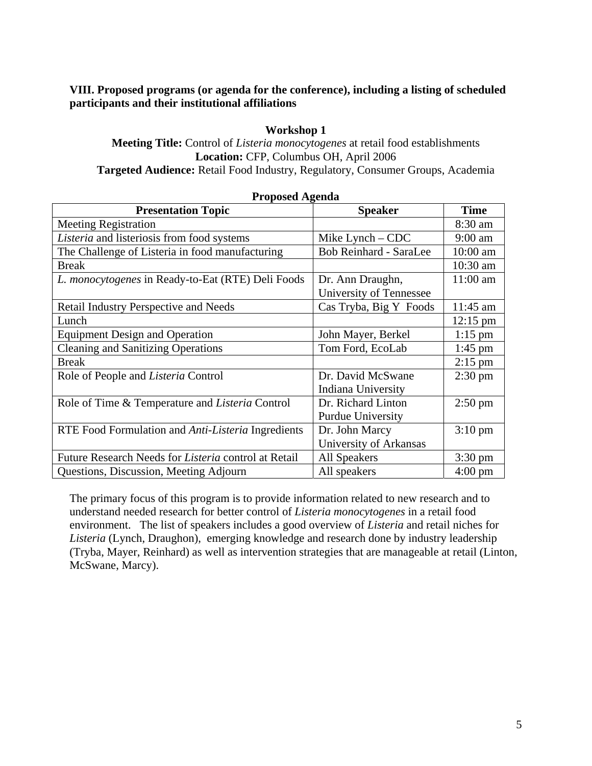# **VIII. Proposed programs (or agenda for the conference), including a listing of scheduled participants and their institutional affiliations**

# **Workshop 1**

### **Meeting Title:** Control of *Listeria monocytogenes* at retail food establishments **Location:** CFP, Columbus OH, April 2006 **Targeted Audience:** Retail Food Industry, Regulatory, Consumer Groups, Academia

| $\cdots$                                               |                               |                    |  |  |  |
|--------------------------------------------------------|-------------------------------|--------------------|--|--|--|
| <b>Presentation Topic</b>                              | <b>Speaker</b>                | <b>Time</b>        |  |  |  |
| <b>Meeting Registration</b>                            |                               | 8:30 am            |  |  |  |
| Listeria and listeriosis from food systems             | Mike Lynch $-$ CDC            | $9:00$ am          |  |  |  |
| The Challenge of Listeria in food manufacturing        | <b>Bob Reinhard - SaraLee</b> | 10:00 am           |  |  |  |
| <b>Break</b>                                           |                               | 10:30 am           |  |  |  |
| L. monocytogenes in Ready-to-Eat (RTE) Deli Foods      | Dr. Ann Draughn,              | 11:00 am           |  |  |  |
|                                                        | University of Tennessee       |                    |  |  |  |
| <b>Retail Industry Perspective and Needs</b>           | Cas Tryba, Big Y Foods        | $11:45$ am         |  |  |  |
| Lunch                                                  |                               | $12:15 \text{ pm}$ |  |  |  |
| <b>Equipment Design and Operation</b>                  | John Mayer, Berkel            | $1:15$ pm          |  |  |  |
| <b>Cleaning and Sanitizing Operations</b>              | Tom Ford, EcoLab              | $1:45$ pm          |  |  |  |
| <b>Break</b>                                           |                               | $2:15$ pm          |  |  |  |
| Role of People and <i>Listeria</i> Control             | Dr. David McSwane             | $2:30 \text{ pm}$  |  |  |  |
|                                                        | Indiana University            |                    |  |  |  |
| Role of Time & Temperature and <i>Listeria</i> Control | Dr. Richard Linton            | $2:50 \text{ pm}$  |  |  |  |
|                                                        | <b>Purdue University</b>      |                    |  |  |  |
| RTE Food Formulation and Anti-Listeria Ingredients     | Dr. John Marcy                | $3:10 \text{ pm}$  |  |  |  |
|                                                        | University of Arkansas        |                    |  |  |  |
| Future Research Needs for Listeria control at Retail   | <b>All Speakers</b>           | $3:30 \text{ pm}$  |  |  |  |
| Questions, Discussion, Meeting Adjourn                 | All speakers                  | $4:00 \text{ pm}$  |  |  |  |

#### **Proposed Agenda**

The primary focus of this program is to provide information related to new research and to understand needed research for better control of *Listeria monocytogenes* in a retail food environment. The list of speakers includes a good overview of *Listeria* and retail niches for *Listeria* (Lynch, Draughon), emerging knowledge and research done by industry leadership (Tryba, Mayer, Reinhard) as well as intervention strategies that are manageable at retail (Linton, McSwane, Marcy).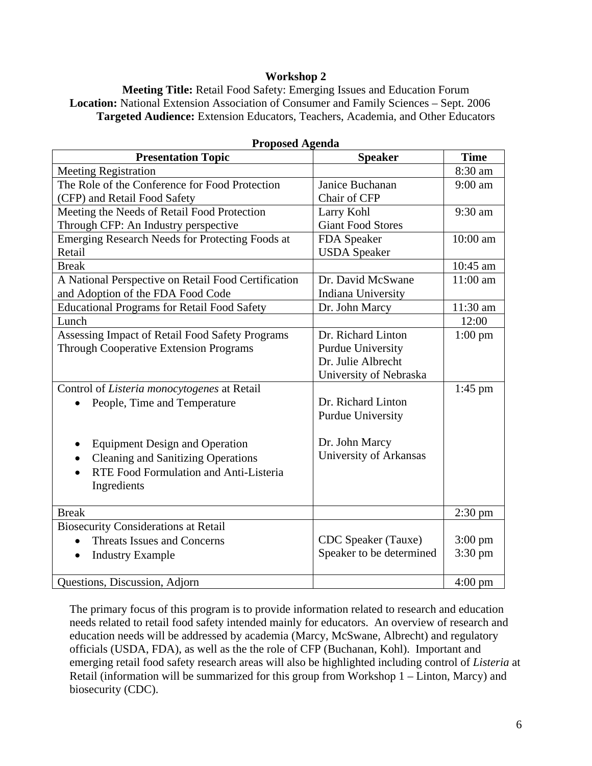### **Workshop 2**

**Meeting Title:** Retail Food Safety: Emerging Issues and Education Forum **Location:** National Extension Association of Consumer and Family Sciences – Sept. 2006 **Targeted Audience:** Extension Educators, Teachers, Academia, and Other Educators

| <b>Presentation Topic</b>                              | <b>Speaker</b>           | <b>Time</b>       |
|--------------------------------------------------------|--------------------------|-------------------|
| <b>Meeting Registration</b>                            |                          | 8:30 am           |
| The Role of the Conference for Food Protection         | Janice Buchanan          | $9:00$ am         |
| (CFP) and Retail Food Safety                           | Chair of CFP             |                   |
| Meeting the Needs of Retail Food Protection            | Larry Kohl               | 9:30 am           |
| Through CFP: An Industry perspective                   | <b>Giant Food Stores</b> |                   |
| Emerging Research Needs for Protecting Foods at        | FDA Speaker              | 10:00 am          |
| Retail                                                 | <b>USDA</b> Speaker      |                   |
| <b>Break</b>                                           |                          | 10:45 am          |
| A National Perspective on Retail Food Certification    | Dr. David McSwane        | 11:00 am          |
| and Adoption of the FDA Food Code                      | Indiana University       |                   |
| <b>Educational Programs for Retail Food Safety</b>     | Dr. John Marcy           | 11:30 am          |
| Lunch                                                  |                          | 12:00             |
| Assessing Impact of Retail Food Safety Programs        | Dr. Richard Linton       | $1:00$ pm         |
| <b>Through Cooperative Extension Programs</b>          | Purdue University        |                   |
|                                                        | Dr. Julie Albrecht       |                   |
|                                                        | University of Nebraska   |                   |
| Control of Listeria monocytogenes at Retail            |                          | $1:45$ pm         |
| People, Time and Temperature                           | Dr. Richard Linton       |                   |
|                                                        | Purdue University        |                   |
|                                                        |                          |                   |
| <b>Equipment Design and Operation</b><br>٠             | Dr. John Marcy           |                   |
| <b>Cleaning and Sanitizing Operations</b><br>$\bullet$ | University of Arkansas   |                   |
| RTE Food Formulation and Anti-Listeria                 |                          |                   |
| Ingredients                                            |                          |                   |
|                                                        |                          |                   |
| <b>Break</b>                                           |                          | $2:30$ pm         |
| <b>Biosecurity Considerations at Retail</b>            |                          |                   |
| <b>Threats Issues and Concerns</b>                     | CDC Speaker (Tauxe)      | $3:00 \text{ pm}$ |
| <b>Industry Example</b><br>$\bullet$                   | Speaker to be determined | $3:30 \text{ pm}$ |
|                                                        |                          |                   |
| Questions, Discussion, Adjorn                          |                          | $4:00 \text{ pm}$ |

**Proposed Agenda** 

The primary focus of this program is to provide information related to research and education needs related to retail food safety intended mainly for educators. An overview of research and education needs will be addressed by academia (Marcy, McSwane, Albrecht) and regulatory officials (USDA, FDA), as well as the the role of CFP (Buchanan, Kohl). Important and emerging retail food safety research areas will also be highlighted including control of *Listeria* at Retail (information will be summarized for this group from Workshop 1 – Linton, Marcy) and biosecurity (CDC).